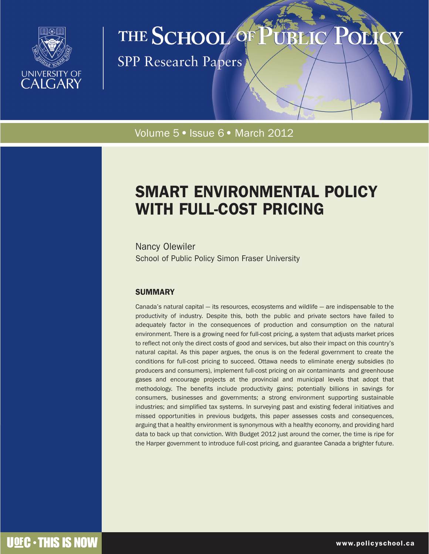

# THE SCHOOL OF

**SPP Research Papers** 

## Volume 5 · Issue 6 · March 2012

## SMART ENVIRONMENTAL POLICY WITH FULL-COST PRICING

Nancy Olewiler School of Public Policy Simon Fraser University

## SUMMARY

Canada's natural capital — its resources, ecosystems and wildlife — are indispensable to the productivity of industry. Despite this, both the public and private sectors have failed to adequately factor in the consequences of production and consumption on the natural environment. There is a growing need for full-cost pricing, a system that adjusts market prices to reflect not only the direct costs of good and services, but also their impact on this country's natural capital. As this paper argues, the onus is on the federal government to create the conditions for full-cost pricing to succeed. Ottawa needs to eliminate energy subsidies (to producers and consumers), implement full-cost pricing on air contaminants and greenhouse gases and encourage projects at the provincial and municipal levels that adopt that methodology. The benefits include productivity gains; potentially billions in savings for consumers, businesses and governments; a strong environment supporting sustainable industries; and simplified tax systems. In surveying past and existing federal initiatives and missed opportunities in previous budgets, this paper assesses costs and consequences, arguing that a healthy environment is synonymous with a healthy economy, and providing hard data to back up that conviction. With Budget 2012 just around the corner, the time is ripe for the Harper government to introduce full-cost pricing, and guarantee Canada a brighter future.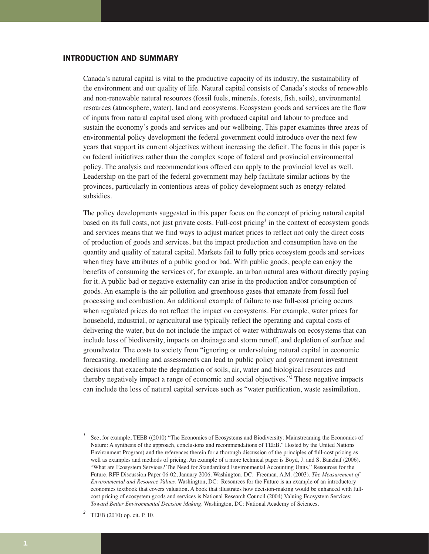## INTRODUCTION AND SUMMARY

Canada's natural capital is vital to the productive capacity of its industry, the sustainability of the environment and our quality of life. Natural capital consists of Canada's stocks of renewable and non-renewable natural resources (fossil fuels, minerals, forests, fish, soils), environmental resources (atmosphere, water), land and ecosystems. Ecosystem goods and services are the flow of inputs from natural capital used along with produced capital and labour to produce and sustain the economy's goods and services and our wellbeing. This paper examines three areas of environmental policy development the federal government could introduce over the next few years that support its current objectives without increasing the deficit. The focus in this paper is on federal initiatives rather than the complex scope of federal and provincial environmental policy. The analysis and recommendations offered can apply to the provincial level as well. Leadership on the part of the federal government may help facilitate similar actions by the provinces, particularly in contentious areas of policy development such as energy-related subsidies.

The policy developments suggested in this paper focus on the concept of pricing natural capital based on its full costs, not just private costs. Full-cost pricing*<sup>1</sup>* in the context of ecosystem goods and services means that we find ways to adjust market prices to reflect not only the direct costs of production of goods and services, but the impact production and consumption have on the quantity and quality of natural capital. Markets fail to fully price ecosystem goods and services when they have attributes of a public good or bad. With public goods, people can enjoy the benefits of consuming the services of, for example, an urban natural area without directly paying for it. A public bad or negative externality can arise in the production and/or consumption of goods. An example is the air pollution and greenhouse gases that emanate from fossil fuel processing and combustion. An additional example of failure to use full-cost pricing occurs when regulated prices do not reflect the impact on ecosystems. For example, water prices for household, industrial, or agricultural use typically reflect the operating and capital costs of delivering the water, but do not include the impact of water withdrawals on ecosystems that can include loss of biodiversity, impacts on drainage and storm runoff, and depletion of surface and groundwater. The costs to society from "ignoring or undervaluing natural capital in economic forecasting, modelling and assessments can lead to public policy and government investment decisions that exacerbate the degradation of soils, air, water and biological resources and thereby negatively impact a range of economic and social objectives."*<sup>2</sup>* These negative impacts can include the loss of natural capital services such as "water purification, waste assimilation,

See, for example, TEEB ((2010) "The Economics of Ecosystems and Biodiversity: Mainstreaming the Economics of Nature: A synthesis of the approach, conclusions and recommendations of TEEB." Hosted by the United Nations Environment Program) and the references therein for a thorough discussion of the principles of full-cost pricing as well as examples and methods of pricing. An example of a more technical paper is Boyd, J. and S. Banzhaf (2006). "What are Ecosystem Services? The Need for Standardized Environmental Accounting Units," Resources for the Future, RFF Discussion Paper 06-02, January 2006. Washington, DC. Freeman, A.M. (2003). *The Measurement of Environmental and Resource Values*. Washington, DC: Resources for the Future is an example of an introductory economics textbook that covers valuation. A book that illustrates how decision-making would be enhanced with fullcost pricing of ecosystem goods and services is National Research Council (2004) Valuing Ecosystem Services: *Toward Better Environmental Decision Making*. Washington, DC: National Academy of Sciences.

*<sup>2</sup>* TEEB (2010) op. cit. P. 10.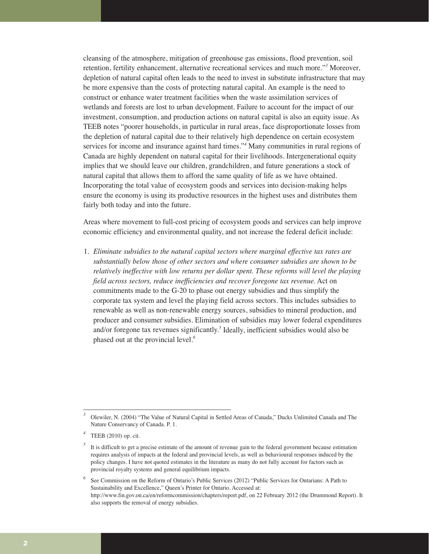cleansing of the atmosphere, mitigation of greenhouse gas emissions, flood prevention, soil retention, fertility enhancement, alternative recreational services and much more."*<sup>3</sup>* Moreover, depletion of natural capital often leads to the need to invest in substitute infrastructure that may be more expensive than the costs of protecting natural capital. An example is the need to construct or enhance water treatment facilities when the waste assimilation services of wetlands and forests are lost to urban development. Failure to account for the impact of our investment, consumption, and production actions on natural capital is also an equity issue. As TEEB notes "poorer households, in particular in rural areas, face disproportionate losses from the depletion of natural capital due to their relatively high dependence on certain ecosystem services for income and insurance against hard times."*<sup>4</sup>* Many communities in rural regions of Canada are highly dependent on natural capital for their livelihoods. Intergenerational equity implies that we should leave our children, grandchildren, and future generations a stock of natural capital that allows them to afford the same quality of life as we have obtained. Incorporating the total value of ecosystem goods and services into decision-making helps ensure the economy is using its productive resources in the highest uses and distributes them fairly both today and into the future.

Areas where movement to full-cost pricing of ecosystem goods and services can help improve economic efficiency and environmental quality, and not increase the federal deficit include:

1. *Eliminate subsidies to the natural capital sectors where marginal effective tax rates are substantially below those of other sectors and where consumer subsidies are shown to be relatively ineffective with low returns per dollar spent. These reforms will level the playing field across sectors, reduce inefficiencies and recover foregone tax revenue.* Act on commitments made to the G-20 to phase out energy subsidies and thus simplify the corporate tax system and level the playing field across sectors. This includes subsidies to renewable as well as non-renewable energy sources, subsidies to mineral production, and producer and consumer subsidies. Elimination of subsidies may lower federal expenditures and/or foregone tax revenues significantly.*<sup>5</sup>* Ideally, inefficient subsidies would also be phased out at the provincial level.*<sup>6</sup>*

*<sup>3</sup>* Olewiler, N. (2004) "The Value of Natural Capital in Settled Areas of Canada," Ducks Unlimited Canada and The Nature Conservancy of Canada. P. 1.

*<sup>4</sup>* TEEB (2010) op. cit.

*<sup>5</sup>* It is difficult to get a precise estimate of the amount of revenue gain to the federal government because estimation requires analysis of impacts at the federal and provincial levels, as well as behavioural responses induced by the policy changes. I have not quoted estimates in the literature as many do not fully account for factors such as provincial royalty systems and general equilibrium impacts.

<sup>&</sup>lt;sup>6</sup> See Commission on the Reform of Ontario's Public Services (2012) "Public Services for Ontarians: A Path to Sustainability and Excellence," Queen's Printer for Ontario. Accessed at: http://www.fin.gov.on.ca/en/reformcommission/chapters/report.pdf, on 22 February 2012 (the Drummond Report). It also supports the removal of energy subsidies.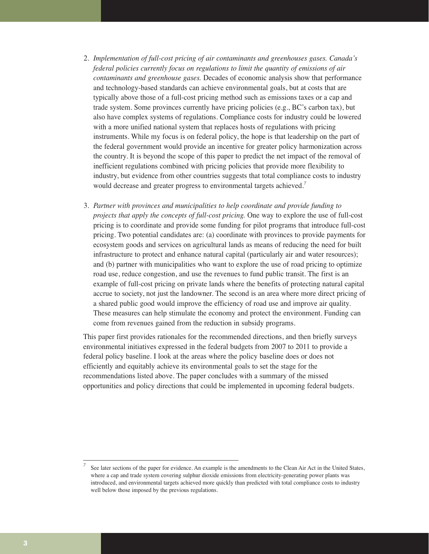- 2. *Implementation of full-cost pricing of air contaminants and greenhouses gases. Canada's federal policies currently focus on regulations to limit the quantity of emissions of air contaminants and greenhouse gases.* Decades of economic analysis show that performance and technology-based standards can achieve environmental goals, but at costs that are typically above those of a full-cost pricing method such as emissions taxes or a cap and trade system. Some provinces currently have pricing policies (e.g., BC's carbon tax), but also have complex systems of regulations. Compliance costs for industry could be lowered with a more unified national system that replaces hosts of regulations with pricing instruments. While my focus is on federal policy, the hope is that leadership on the part of the federal government would provide an incentive for greater policy harmonization across the country. It is beyond the scope of this paper to predict the net impact of the removal of inefficient regulations combined with pricing policies that provide more flexibility to industry, but evidence from other countries suggests that total compliance costs to industry would decrease and greater progress to environmental targets achieved.*<sup>7</sup>*
- 3. *Partner with provinces and municipalities to help coordinate and provide funding to projects that apply the concepts of full-cost pricing.* One way to explore the use of full-cost pricing is to coordinate and provide some funding for pilot programs that introduce full-cost pricing. Two potential candidates are: (a) coordinate with provinces to provide payments for ecosystem goods and services on agricultural lands as means of reducing the need for built infrastructure to protect and enhance natural capital (particularly air and water resources); and (b) partner with municipalities who want to explore the use of road pricing to optimize road use, reduce congestion, and use the revenues to fund public transit. The first is an example of full-cost pricing on private lands where the benefits of protecting natural capital accrue to society, not just the landowner. The second is an area where more direct pricing of a shared public good would improve the efficiency of road use and improve air quality. These measures can help stimulate the economy and protect the environment. Funding can come from revenues gained from the reduction in subsidy programs.

This paper first provides rationales for the recommended directions, and then briefly surveys environmental initiatives expressed in the federal budgets from 2007 to 2011 to provide a federal policy baseline. I look at the areas where the policy baseline does or does not efficiently and equitably achieve its environmental goals to set the stage for the recommendations listed above. The paper concludes with a summary of the missed opportunities and policy directions that could be implemented in upcoming federal budgets.

<sup>&</sup>lt;sup>7</sup> See later sections of the paper for evidence. An example is the amendments to the Clean Air Act in the United States, where a cap and trade system covering sulphur dioxide emissions from electricity-generating power plants was introduced, and environmental targets achieved more quickly than predicted with total compliance costs to industry well below those imposed by the previous regulations.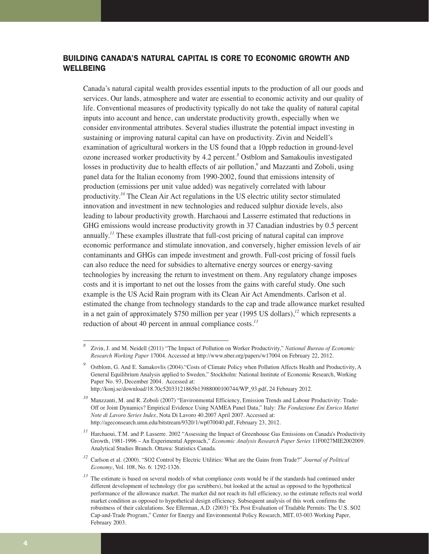## BUILDING CANADA'S NATURAL CAPITAL IS CORE TO ECONOMIC GROWTH AND WELLBEING

Canada's natural capital wealth provides essential inputs to the production of all our goods and services. Our lands, atmosphere and water are essential to economic activity and our quality of life. Conventional measures of productivity typically do not take the quality of natural capital inputs into account and hence, can understate productivity growth, especially when we consider environmental attributes. Several studies illustrate the potential impact investing in sustaining or improving natural capital can have on productivity. Zivin and Neidell's examination of agricultural workers in the US found that a 10ppb reduction in ground-level ozone increased worker productivity by 4.2 percent.*<sup>8</sup>* Ostblom and Samakoulis investigated losses in productivity due to health effects of air pollution,<sup>9</sup> and Mazzanti and Zoboli, using panel data for the Italian economy from 1990-2002, found that emissions intensity of production (emissions per unit value added) was negatively correlated with labour productivity.*<sup>10</sup>* The Clean Air Act regulations in the US electric utility sector stimulated innovation and investment in new technologies and reduced sulphur dioxide levels, also leading to labour productivity growth. Harchaoui and Lasserre estimated that reductions in GHG emissions would increase productivity growth in 37 Canadian industries by 0.5 percent annually.*<sup>11</sup>* These examples illustrate that full-cost pricing of natural capital can improve economic performance and stimulate innovation, and conversely, higher emission levels of air contaminants and GHGs can impede investment and growth. Full-cost pricing of fossil fuels can also reduce the need for subsidies to alternative energy sources or energy-saving technologies by increasing the return to investment on them. Any regulatory change imposes costs and it is important to net out the losses from the gains with careful study. One such example is the US Acid Rain program with its Clean Air Act Amendments. Carlson et al. estimated the change from technology standards to the cap and trade allowance market resulted in a net gain of approximately \$750 million per year (1995 US dollars),*<sup>12</sup>* which represents a reduction of about 40 percent in annual compliance costs.*<sup>13</sup>*

*<sup>8</sup>* Zivin, J. and M. Neidell (2011) "The Impact of Pollution on Worker Productivity," *National Bureau of Economic Research Working Paper* 17004. Accessed at http://www.nber.org/papers/w17004 on February 22, 2012.

*<sup>9</sup>* Ostblom, G. And E. Samakovlis (2004)."Costs of Climate Policy when Pollution Affects Health and Productivity, A General Equilibrium Analysis applied to Sweden," Stockholm: National Institute of Economic Research, Working Paper No. 93, December 2004. Accessed at: http://konj.se/download/18.70c52033121865b13988000100744/WP\_93.pdf, 24 February 2012.

<sup>&</sup>lt;sup>10</sup> Manzzanti, M. and R. Zoboli (2007) "Environmental Efficiency, Emission Trends and Labour Productivity: Trade-Off or Joint Dynamics? Empirical Evidence Using NAMEA Panel Data," Italy: *The Fondazione Eni Enrico Mattei Note di Lavoro Series Index*, Nota Di Lavoro 40.2007 April 2007. Accessed at: http://ageconsearch.umn.edu/bitstream/9320/1/wp070040.pdf, February 23, 2012.

*<sup>11</sup>* Harchaoui, T.M. and P. Lasserre. 2002 "Assessing the Impact of Greenhouse Gas Emissions on Canada's Productivity Growth, 1981-1996 – An Experimental Approach," *Economic Analysis Research Paper Series* 11F0027MIE2002009. Analytical Studies Branch. Ottawa: Statistics Canada.

*<sup>12</sup>* Carlson et al. (2000). "SO2 Control by Electric Utilities: What are the Gains from Trade?" *Journal of Political Economy*, Vol. 108, No. 6: 1292-1326.

<sup>&</sup>lt;sup>13</sup> The estimate is based on several models of what compliance costs would be if the standards had continued under different development of technology (for gas scrubbers), but looked at the actual as opposed to the hypothetical performance of the allowance market. The market did not reach its full efficiency, so the estimate reflects real world market condition as opposed to hypothetical design efficiency. Subsequent analysis of this work confirms the robustness of their calculations. See Ellerman, A.D. (2003) "Ex Post Evaluation of Tradable Permits: The U.S. SO2 Cap-and-Trade Program," Center for Energy and Environmental Policy Research, MIT, 03-003 Working Paper, February 2003.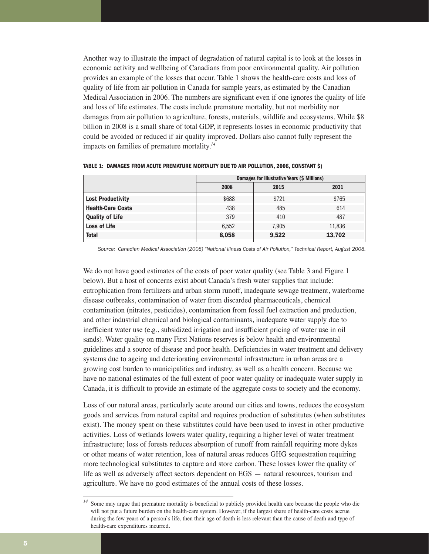Another way to illustrate the impact of degradation of natural capital is to look at the losses in economic activity and wellbeing of Canadians from poor environmental quality. Air pollution provides an example of the losses that occur. Table 1 shows the health-care costs and loss of quality of life from air pollution in Canada for sample years, as estimated by the Canadian Medical Association in 2006. The numbers are significant even if one ignores the quality of life and loss of life estimates. The costs include premature mortality, but not morbidity nor damages from air pollution to agriculture, forests, materials, wildlife and ecosystems. While \$8 billion in 2008 is a small share of total GDP, it represents losses in economic productivity that could be avoided or reduced if air quality improved. Dollars also cannot fully represent the impacts on families of premature mortality.*<sup>14</sup>*

|                          | Damages for Illustrative Years (\$ Millions) |       |        |  |
|--------------------------|----------------------------------------------|-------|--------|--|
|                          | 2008                                         | 2015  | 2031   |  |
| <b>Lost Productivity</b> | \$688                                        | \$721 | \$765  |  |
| <b>Health-Care Costs</b> | 438                                          | 485   | 614    |  |
| <b>Quality of Life</b>   | 379                                          | 410   | 487    |  |
| <b>Loss of Life</b>      | 6,552                                        | 7,905 | 11,836 |  |
| Total                    | 8,058                                        | 9,522 | 13,702 |  |

TABLE 1: DAMAGES FROM ACUTE PREMATURE MORTALITY DUE TO AIR POLLUTION, 2006, CONSTANT \$)

*Source: Canadian Medical Association (2008) "National Illness Costs of Air Pollution," Technical Report, August 2008.*

We do not have good estimates of the costs of poor water quality (see Table 3 and Figure 1) below). But a host of concerns exist about Canada's fresh water supplies that include: eutrophication from fertilizers and urban storm runoff, inadequate sewage treatment, waterborne disease outbreaks, contamination of water from discarded pharmaceuticals, chemical contamination (nitrates, pesticides), contamination from fossil fuel extraction and production, and other industrial chemical and biological contaminants, inadequate water supply due to inefficient water use (e.g., subsidized irrigation and insufficient pricing of water use in oil sands). Water quality on many First Nations reserves is below health and environmental guidelines and a source of disease and poor health. Deficiencies in water treatment and delivery systems due to ageing and deteriorating environmental infrastructure in urban areas are a growing cost burden to municipalities and industry, as well as a health concern. Because we have no national estimates of the full extent of poor water quality or inadequate water supply in Canada, it is difficult to provide an estimate of the aggregate costs to society and the economy.

Loss of our natural areas, particularly acute around our cities and towns, reduces the ecosystem goods and services from natural capital and requires production of substitutes (when substitutes exist). The money spent on these substitutes could have been used to invest in other productive activities. Loss of wetlands lowers water quality, requiring a higher level of water treatment infrastructure; loss of forests reduces absorption of runoff from rainfall requiring more dykes or other means of water retention, loss of natural areas reduces GHG sequestration requiring more technological substitutes to capture and store carbon. These losses lower the quality of life as well as adversely affect sectors dependent on EGS — natural resources, tourism and agriculture. We have no good estimates of the annual costs of these losses.

Some may argue that premature mortality is beneficial to publicly provided health care because the people who die will not put a future burden on the health-care system. However, if the largest share of health-care costs accrue during the few years of a person's life, then their age of death is less relevant than the cause of death and type of health-care expenditures incurred.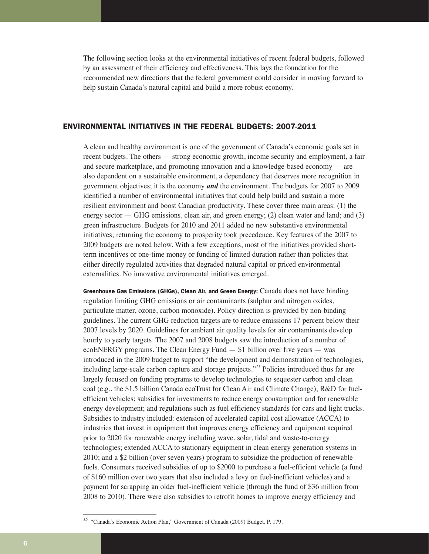The following section looks at the environmental initiatives of recent federal budgets, followed by an assessment of their efficiency and effectiveness. This lays the foundation for the recommended new directions that the federal government could consider in moving forward to help sustain Canada's natural capital and build a more robust economy.

## ENVIRONMENTAL INITIATIVES IN THE FEDERAL BUDGETS: 2007-2011

A clean and healthy environment is one of the government of Canada's economic goals set in recent budgets. The others — strong economic growth, income security and employment, a fair and secure marketplace, and promoting innovation and a knowledge-based economy — are also dependent on a sustainable environment, a dependency that deserves more recognition in government objectives; it is the economy *and* the environment. The budgets for 2007 to 2009 identified a number of environmental initiatives that could help build and sustain a more resilient environment and boost Canadian productivity. These cover three main areas: (1) the energy sector — GHG emissions, clean air, and green energy; (2) clean water and land; and (3) green infrastructure. Budgets for 2010 and 2011 added no new substantive environmental initiatives; returning the economy to prosperity took precedence. Key features of the 2007 to 2009 budgets are noted below. With a few exceptions, most of the initiatives provided shortterm incentives or one-time money or funding of limited duration rather than policies that either directly regulated activities that degraded natural capital or priced environmental externalities. No innovative environmental initiatives emerged.

Greenhouse Gas Emissions (GHGs), Clean Air, and Green Energy: Canada does not have binding regulation limiting GHG emissions or air contaminants (sulphur and nitrogen oxides, particulate matter, ozone, carbon monoxide). Policy direction is provided by non-binding guidelines. The current GHG reduction targets are to reduce emissions 17 percent below their 2007 levels by 2020. Guidelines for ambient air quality levels for air contaminants develop hourly to yearly targets. The 2007 and 2008 budgets saw the introduction of a number of ecoENERGY programs. The Clean Energy Fund  $-$  \$1 billion over five years  $-$  was introduced in the 2009 budget to support "the development and demonstration of technologies, including large-scale carbon capture and storage projects."*<sup>15</sup>* Policies introduced thus far are largely focused on funding programs to develop technologies to sequester carbon and clean coal (e.g., the \$1.5 billion Canada ecoTrust for Clean Air and Climate Change); R&D for fuelefficient vehicles; subsidies for investments to reduce energy consumption and for renewable energy development; and regulations such as fuel efficiency standards for cars and light trucks. Subsidies to industry included: extension of accelerated capital cost allowance (ACCA) to industries that invest in equipment that improves energy efficiency and equipment acquired prior to 2020 for renewable energy including wave, solar, tidal and waste-to-energy technologies; extended ACCA to stationary equipment in clean energy generation systems in 2010; and a \$2 billion (over seven years) program to subsidize the production of renewable fuels. Consumers received subsidies of up to \$2000 to purchase a fuel-efficient vehicle (a fund of \$160 million over two years that also included a levy on fuel-inefficient vehicles) and a payment for scrapping an older fuel-inefficient vehicle (through the fund of \$36 million from 2008 to 2010). There were also subsidies to retrofit homes to improve energy efficiency and

*<sup>15</sup>* "Canada's Economic Action Plan," Government of Canada (2009) Budget. P. 179.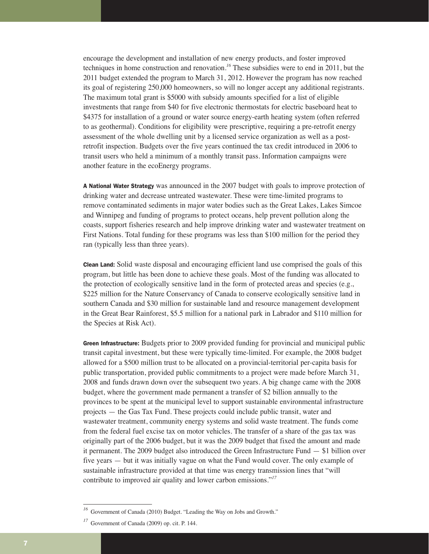encourage the development and installation of new energy products, and foster improved techniques in home construction and renovation.*<sup>16</sup>* These subsidies were to end in 2011, but the 2011 budget extended the program to March 31, 2012. However the program has now reached its goal of registering 250,000 homeowners, so will no longer accept any additional registrants. The maximum total grant is \$5000 with subsidy amounts specified for a list of eligible investments that range from \$40 for five electronic thermostats for electric baseboard heat to \$4375 for installation of a ground or water source energy-earth heating system (often referred to as geothermal). Conditions for eligibility were prescriptive, requiring a pre-retrofit energy assessment of the whole dwelling unit by a licensed service organization as well as a postretrofit inspection. Budgets over the five years continued the tax credit introduced in 2006 to transit users who held a minimum of a monthly transit pass. Information campaigns were another feature in the ecoEnergy programs.

A National Water Strategy was announced in the 2007 budget with goals to improve protection of drinking water and decrease untreated wastewater. These were time-limited programs to remove contaminated sediments in major water bodies such as the Great Lakes, Lakes Simcoe and Winnipeg and funding of programs to protect oceans, help prevent pollution along the coasts, support fisheries research and help improve drinking water and wastewater treatment on First Nations. Total funding for these programs was less than \$100 million for the period they ran (typically less than three years).

Clean Land: Solid waste disposal and encouraging efficient land use comprised the goals of this program, but little has been done to achieve these goals. Most of the funding was allocated to the protection of ecologically sensitive land in the form of protected areas and species (e.g., \$225 million for the Nature Conservancy of Canada to conserve ecologically sensitive land in southern Canada and \$30 million for sustainable land and resource management development in the Great Bear Rainforest, \$5.5 million for a national park in Labrador and \$110 million for the Species at Risk Act).

Green Infrastructure: Budgets prior to 2009 provided funding for provincial and municipal public transit capital investment, but these were typically time-limited. For example, the 2008 budget allowed for a \$500 million trust to be allocated on a provincial-territorial per-capita basis for public transportation, provided public commitments to a project were made before March 31, 2008 and funds drawn down over the subsequent two years. A big change came with the 2008 budget, where the government made permanent a transfer of \$2 billion annually to the provinces to be spent at the municipal level to support sustainable environmental infrastructure projects — the Gas Tax Fund. These projects could include public transit, water and wastewater treatment, community energy systems and solid waste treatment. The funds come from the federal fuel excise tax on motor vehicles. The transfer of a share of the gas tax was originally part of the 2006 budget, but it was the 2009 budget that fixed the amount and made it permanent. The 2009 budget also introduced the Green Infrastructure Fund — \$1 billion over five years — but it was initially vague on what the Fund would cover. The only example of sustainable infrastructure provided at that time was energy transmission lines that "will contribute to improved air quality and lower carbon emissions."*<sup>17</sup>*

<sup>&</sup>lt;sup>16</sup> Government of Canada (2010) Budget. "Leading the Way on Jobs and Growth."

*<sup>17</sup>* Government of Canada (2009) op. cit. P. 144.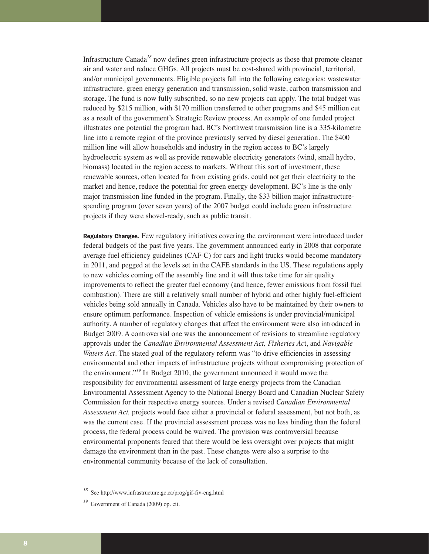Infrastructure Canada*<sup>18</sup>* now defines green infrastructure projects as those that promote cleaner air and water and reduce GHGs. All projects must be cost-shared with provincial, territorial, and/or municipal governments. Eligible projects fall into the following categories: wastewater infrastructure, green energy generation and transmission, solid waste, carbon transmission and storage. The fund is now fully subscribed, so no new projects can apply. The total budget was reduced by \$215 million, with \$170 million transferred to other programs and \$45 million cut as a result of the government's Strategic Review process. An example of one funded project illustrates one potential the program had. BC's Northwest transmission line is a 335-kilometre line into a remote region of the province previously served by diesel generation. The \$400 million line will allow households and industry in the region access to BC's largely hydroelectric system as well as provide renewable electricity generators (wind, small hydro, biomass) located in the region access to markets. Without this sort of investment, these renewable sources, often located far from existing grids, could not get their electricity to the market and hence, reduce the potential for green energy development. BC's line is the only major transmission line funded in the program. Finally, the \$33 billion major infrastructurespending program (over seven years) of the 2007 budget could include green infrastructure projects if they were shovel-ready, such as public transit.

Regulatory Changes. Few regulatory initiatives covering the environment were introduced under federal budgets of the past five years. The government announced early in 2008 that corporate average fuel efficiency guidelines (CAF-C) for cars and light trucks would become mandatory in 2011, and pegged at the levels set in the CAFE standards in the US. These regulations apply to new vehicles coming off the assembly line and it will thus take time for air quality improvements to reflect the greater fuel economy (and hence, fewer emissions from fossil fuel combustion). There are still a relatively small number of hybrid and other highly fuel-efficient vehicles being sold annually in Canada. Vehicles also have to be maintained by their owners to ensure optimum performance. Inspection of vehicle emissions is under provincial/municipal authority. A number of regulatory changes that affect the environment were also introduced in Budget 2009. A controversial one was the announcement of revisions to streamline regulatory approvals under the *Canadian Environmental Assessment Act, Fisheries Ac*t, and *Navigable Waters Act*. The stated goal of the regulatory reform was "to drive efficiencies in assessing environmental and other impacts of infrastructure projects without compromising protection of the environment."*<sup>19</sup>* In Budget 2010, the government announced it would move the responsibility for environmental assessment of large energy projects from the Canadian Environmental Assessment Agency to the National Energy Board and Canadian Nuclear Safety Commission for their respective energy sources. Under a revised *Canadian Environmental Assessment Act,* projects would face either a provincial or federal assessment, but not both, as was the current case. If the provincial assessment process was no less binding than the federal process, the federal process could be waived. The provision was controversial because environmental proponents feared that there would be less oversight over projects that might damage the environment than in the past. These changes were also a surprise to the environmental community because of the lack of consultation.

See http://www.infrastructure.gc.ca/prog/gif-fiv-eng.html

*<sup>19</sup>* Government of Canada (2009) op. cit.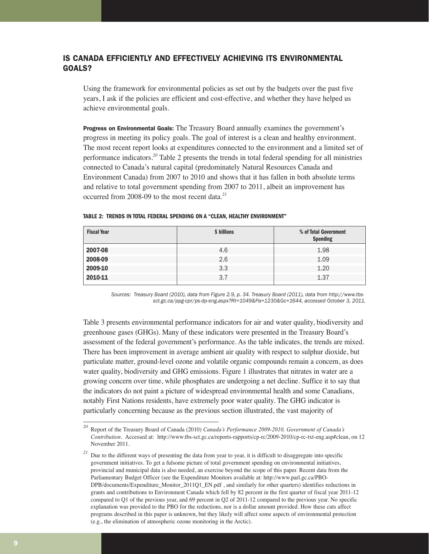## IS CANADA EFFICIENTLY AND EFFECTIVELY ACHIEVING ITS ENVIRONMENTAL GOALS?

Using the framework for environmental policies as set out by the budgets over the past five years, I ask if the policies are efficient and cost-effective, and whether they have helped us achieve environmental goals.

Progress on Environmental Goals: The Treasury Board annually examines the government's progress in meeting its policy goals. The goal of interest is a clean and healthy environment. The most recent report looks at expenditures connected to the environment and a limited set of performance indicators.*<sup>20</sup>* Table 2 presents the trends in total federal spending for all ministries connected to Canada's natural capital (predominately Natural Resources Canada and Environment Canada) from 2007 to 2010 and shows that it has fallen in both absolute terms and relative to total government spending from 2007 to 2011, albeit an improvement has occurred from 2008-09 to the most recent data.*<sup>21</sup>*

| <b>Fiscal Year</b> | \$ billions | % of Total Government<br><b>Spending</b> |  |
|--------------------|-------------|------------------------------------------|--|
| 2007-08            | 4.6         | 1.98                                     |  |
| 2008-09            | 2.6         | 1.09                                     |  |
| 2009-10            | 3.3         | 1.20                                     |  |
| 2010-11            | 3.7         | 1.37                                     |  |

#### TABLE 2: TRENDS IN TOTAL FEDERAL SPENDING ON A "CLEAN, HEALTHY ENVIRONMENT"

*Sources: Treasury Board (2010), data from Figure 2.9, p. 34. Treasury Board (2011), data from http://www.tbssct.gc.ca/ppg-cpr/ps-dp-eng.aspx?Rt=1049&Pa=1230&Gc=1644, accessed October 3, 2011.*

Table 3 presents environmental performance indicators for air and water quality, biodiversity and greenhouse gases (GHGs). Many of these indicators were presented in the Treasury Board's assessment of the federal government's performance. As the table indicates, the trends are mixed. There has been improvement in average ambient air quality with respect to sulphur dioxide, but particulate matter, ground-level ozone and volatile organic compounds remain a concern, as does water quality, biodiversity and GHG emissions. Figure 1 illustrates that nitrates in water are a growing concern over time, while phosphates are undergoing a net decline. Suffice it to say that the indicators do not paint a picture of widespread environmental health and some Canadians, notably First Nations residents, have extremely poor water quality. The GHG indicator is particularly concerning because as the previous section illustrated, the vast majority of

*<sup>20</sup>* Report of the Treasury Board of Canada (2010) *Canada's Performance 2009-2010, Government of Canada's Contribution*. Accessed at: http://www.tbs-sct.gc.ca/reports-rapports/cp-rc/2009-2010/cp-rc-txt-eng.asp#clean, on 12 November 2011.

*<sup>21</sup>* Due to the different ways of presenting the data from year to year, it is difficult to disaggregate into specific government initiatives. To get a fulsome picture of total government spending on environmental initiatives, provincial and municipal data is also needed, an exercise beyond the scope of this paper. Recent data from the Parliamentary Budget Officer (see the Expenditure Monitors available at: http://www.parl.gc.ca/PBO-DPB/documents/Expenditure\_Monitor\_2011Q1\_EN.pdf , and similarly for other quarters) identifies reductions in grants and contributions to Environment Canada which fell by 82 percent in the first quarter of fiscal year 2011-12 compared to Q1 of the previous year, and 69 percent in Q2 of 2011-12 compared to the previous year. No specific explanation was provided to the PBO for the reductions, nor is a dollar amount provided. How these cuts affect programs described in this paper is unknown, but they likely will affect some aspects of environmental protection (e.g., the elimination of atmospheric ozone monitoring in the Arctic).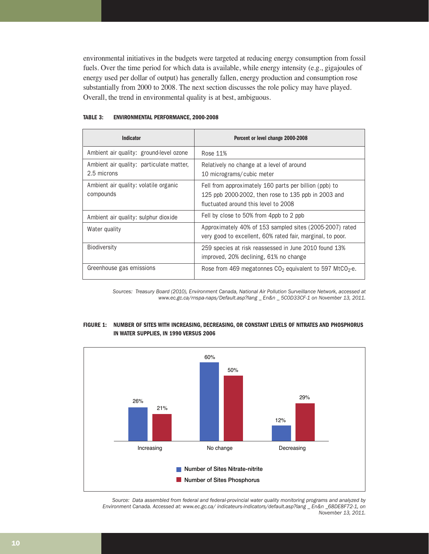environmental initiatives in the budgets were targeted at reducing energy consumption from fossil fuels. Over the time period for which data is available, while energy intensity (e.g., gigajoules of energy used per dollar of output) has generally fallen, energy production and consumption rose substantially from 2000 to 2008. The next section discusses the role policy may have played. Overall, the trend in environmental quality is at best, ambiguous.

| <b>Indicator</b>                                        | Percent or level change 2000-2008                                                                                                                     |
|---------------------------------------------------------|-------------------------------------------------------------------------------------------------------------------------------------------------------|
| Ambient air quality: ground-level ozone                 | Rose 11%                                                                                                                                              |
| Ambient air quality: particulate matter,<br>2.5 microns | Relatively no change at a level of around<br>10 micrograms/cubic meter                                                                                |
| Ambient air quality: volatile organic<br>compounds      | Fell from approximately 160 parts per billion (ppb) to<br>125 ppb 2000-2002, then rose to 135 ppb in 2003 and<br>fluctuated around this level to 2008 |
| Ambient air quality: sulphur dioxide                    | Fell by close to 50% from 4ppb to 2 ppb                                                                                                               |
| Water quality                                           | Approximately 40% of 153 sampled sites (2005-2007) rated<br>very good to excellent, 60% rated fair, marginal, to poor.                                |
| <b>Biodiversity</b>                                     | 259 species at risk reassessed in June 2010 found 13%<br>improved, 20% declining, 61% no change                                                       |
| Greenhouse gas emissions                                | Rose from 469 megatonnes $CO2$ equivalent to 597 MtCO <sub>2</sub> -e.                                                                                |

## TABLE 3: ENVIRONMENTAL PERFORMANCE, 2000-2008

*Sources: Treasury Board (2010), Environment Canada, National Air Pollution Surveillance Network, accessed at www.ec.gc.ca/rnspa-naps/Default.asp?lang \_ En&n \_ 5C0D33CF-1 on November 13, 2011.*

## FIGURE 1: NUMBER OF SITES WITH INCREASING, DECREASING, OR CONSTANT LEVELS OF NITRATES AND PHOSPHORUS IN WATER SUPPLIES, IN 1990 VERSUS 2006



*Source: Data assembled from federal and federal-provincial water quality monitoring programs and analyzed by Environment Canada. Accessed at: www.ec.gc.ca/ indicateurs-indicators/default.asp?lang \_ En&n \_68DE8F72-1, on November 13, 2011.*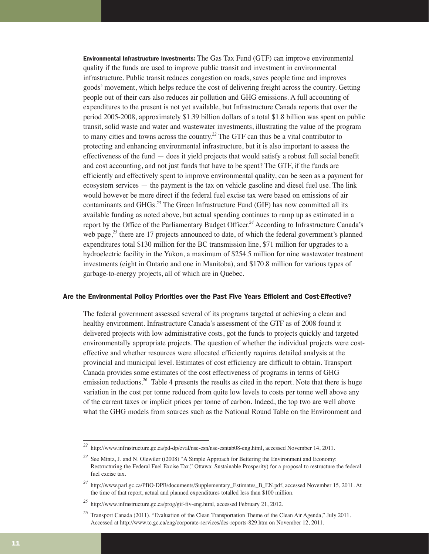Environmental Infrastructure Investments: The Gas Tax Fund (GTF) can improve environmental quality if the funds are used to improve public transit and investment in environmental infrastructure. Public transit reduces congestion on roads, saves people time and improves goods' movement, which helps reduce the cost of delivering freight across the country. Getting people out of their cars also reduces air pollution and GHG emissions. A full accounting of expenditures to the present is not yet available, but Infrastructure Canada reports that over the period 2005-2008, approximately \$1.39 billion dollars of a total \$1.8 billion was spent on public transit, solid waste and water and wastewater investments, illustrating the value of the program to many cities and towns across the country.*<sup>22</sup>* The GTF can thus be a vital contributor to protecting and enhancing environmental infrastructure, but it is also important to assess the effectiveness of the fund — does it yield projects that would satisfy a robust full social benefit and cost accounting, and not just funds that have to be spent? The GTF, if the funds are efficiently and effectively spent to improve environmental quality, can be seen as a payment for ecosystem services — the payment is the tax on vehicle gasoline and diesel fuel use. The link would however be more direct if the federal fuel excise tax were based on emissions of air contaminants and GHGs.*<sup>23</sup>* The Green Infrastructure Fund (GIF) has now committed all its available funding as noted above, but actual spending continues to ramp up as estimated in a report by the Office of the Parliamentary Budget Officer.*<sup>24</sup>* According to Infrastructure Canada's web page,<sup>25</sup> there are 17 projects announced to date, of which the federal government's planned expenditures total \$130 million for the BC transmission line, \$71 million for upgrades to a hydroelectric facility in the Yukon, a maximum of \$254.5 million for nine wastewater treatment investments (eight in Ontario and one in Manitoba), and \$170.8 million for various types of garbage-to-energy projects, all of which are in Quebec.

## Are the Environmental Policy Priorities over the Past Five Years Efficient and Cost-Effective?

The federal government assessed several of its programs targeted at achieving a clean and healthy environment. Infrastructure Canada's assessment of the GTF as of 2008 found it delivered projects with low administrative costs, got the funds to projects quickly and targeted environmentally appropriate projects. The question of whether the individual projects were costeffective and whether resources were allocated efficiently requires detailed analysis at the provincial and municipal level. Estimates of cost efficiency are difficult to obtain. Transport Canada provides some estimates of the cost effectiveness of programs in terms of GHG emission reductions.<sup>26</sup> Table 4 presents the results as cited in the report. Note that there is huge variation in the cost per tonne reduced from quite low levels to costs per tonne well above any of the current taxes or implicit prices per tonne of carbon. Indeed, the top two are well above what the GHG models from sources such as the National Round Table on the Environment and

*<sup>22</sup>* http://www.infrastructure.gc.ca/pd-dp/eval/nse-esn/nse-esntab08-eng.html, accessed November 14, 2011.

<sup>&</sup>lt;sup>23</sup> See Mintz, J. and N. Olewiler ((2008) "A Simple Approach for Bettering the Environment and Economy: Restructuring the Federal Fuel Excise Tax," Ottawa: Sustainable Prosperity) for a proposal to restructure the federal fuel excise tax.

*<sup>24</sup>* http://www.parl.gc.ca/PBO-DPB/documents/Supplementary\_Estimates\_B\_EN.pdf, accessed November 15, 2011. At the time of that report, actual and planned expenditures totalled less than \$100 million.

*<sup>25</sup>* http://www.infrastructure.gc.ca/prog/gif-fiv-eng.html, accessed February 21, 2012.

<sup>&</sup>lt;sup>26</sup> Transport Canada (2011). "Evaluation of the Clean Transportation Theme of the Clean Air Agenda," July 2011. Accessed at http://www.tc.gc.ca/eng/corporate-services/des-reports-829.htm on November 12, 2011.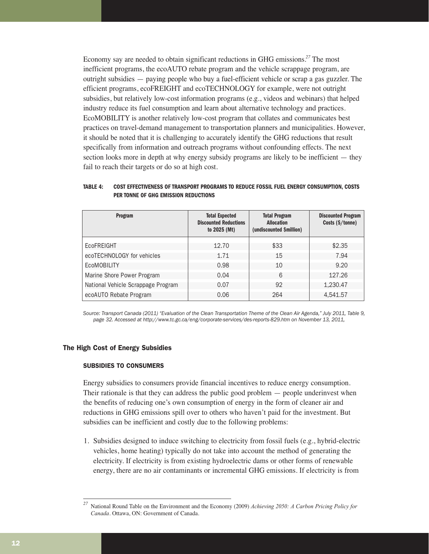Economy say are needed to obtain significant reductions in GHG emissions.*<sup>27</sup>* The most inefficient programs, the ecoAUTO rebate program and the vehicle scrappage program, are outright subsidies — paying people who buy a fuel-efficient vehicle or scrap a gas guzzler. The efficient programs, ecoFREIGHT and ecoTECHNOLOGY for example, were not outright subsidies, but relatively low-cost information programs (e.g., videos and webinars) that helped industry reduce its fuel consumption and learn about alternative technology and practices. EcoMOBILITY is another relatively low-cost program that collates and communicates best practices on travel-demand management to transportation planners and municipalities. However, it should be noted that it is challenging to accurately identify the GHG reductions that result specifically from information and outreach programs without confounding effects. The next section looks more in depth at why energy subsidy programs are likely to be inefficient — they fail to reach their targets or do so at high cost.

| <b>Program</b>                     | <b>Total Expected</b><br><b>Discounted Reductions</b><br>to 2025 (Mt) | <b>Total Program</b><br><b>Allocation</b><br>(undiscounted \$million) | <b>Discounted Program</b><br>Costs (\$/tonne) |
|------------------------------------|-----------------------------------------------------------------------|-----------------------------------------------------------------------|-----------------------------------------------|
| <b>EcoFREIGHT</b>                  | 12.70                                                                 | \$33                                                                  | \$2.35                                        |
| ecoTECHNOLOGY for vehicles         | 1.71                                                                  | 15                                                                    | 7.94                                          |
| <b>EcoMOBILITY</b>                 | 0.98                                                                  | 10                                                                    | 9.20                                          |
| Marine Shore Power Program         | 0.04                                                                  | 6                                                                     | 127.26                                        |
| National Vehicle Scrappage Program | 0.07                                                                  | 92                                                                    | 1,230.47                                      |
| ecoAUTO Rebate Program             | 0.06                                                                  | 264                                                                   | 4,541.57                                      |

#### TABLE 4: COST EFFECTIVENESS OF TRANSPORT PROGRAMS TO REDUCE FOSSIL FUEL ENERGY CONSUMPTION, COSTS PER TONNE OF GHG EMISSION REDUCTIONS

*Source: Transport Canada (2011) "Evaluation of the Clean Transportation Theme of the Clean Air Agenda," July 2011, Table 9, page 32. Accessed at http://www.tc.gc.ca/eng/corporate-services/des-reports-829.htm on November 13, 2011,* 

## The High Cost of Energy Subsidies

## SUBSIDIES TO CONSUMERS

Energy subsidies to consumers provide financial incentives to reduce energy consumption. Their rationale is that they can address the public good problem — people underinvest when the benefits of reducing one's own consumption of energy in the form of cleaner air and reductions in GHG emissions spill over to others who haven't paid for the investment. But subsidies can be inefficient and costly due to the following problems:

1. Subsidies designed to induce switching to electricity from fossil fuels (e.g., hybrid-electric vehicles, home heating) typically do not take into account the method of generating the electricity. If electricity is from existing hydroelectric dams or other forms of renewable energy, there are no air contaminants or incremental GHG emissions. If electricity is from

*<sup>27</sup>* National Round Table on the Environment and the Economy (2009) *Achieving 2050: A Carbon Pricing Policy for Canada*. Ottawa, ON: Government of Canada.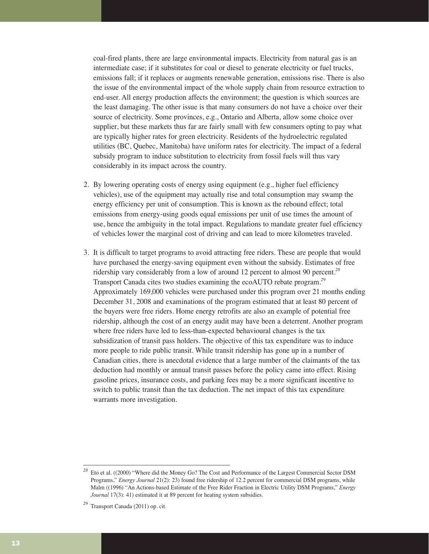coal-fired plants, there are large environmental impacts. Electricity from natural gas is an intermediate case; if it substitutes for coal or diesel to generate electricity or fuel trucks, emissions fall; if it replaces or augments renewable generation, emissions rise. There is also the issue of the environmental impact of the whole supply chain from resource extraction to end-user. All energy production affects the environment; the question is which sources are the least damaging. The other issue is that many consumers do not have a choice over their source of electricity. Some provinces, e.g., Ontario and Alberta, allow some choice over supplier, but these markets thus far are fairly small with few consumers opting to pay what are typically higher rates for green electricity. Residents of the hydroelectric regulated utilities (BC, Quebec, Manitoba) have uniform rates for electricity. The impact of a federal subsidy program to induce substitution to electricity from fossil fuels will thus vary considerably in its impact across the country.

- 2. By lowering operating costs of energy using equipment (e.g., higher fuel efficiency vehicles), use of the equipment may actually rise and total consumption may swamp the energy efficiency per unit of consumption. This is known as the rebound effect; total emissions from energy-using goods equal emissions per unit of use times the amount of use, hence the ambiguity in the total impact. Regulations to mandate greater fuel efficiency of vehicles lower the marginal cost of driving and can lead to more kilometres traveled.
- 3. It is difficult to target programs to avoid attracting free riders. These are people that would have purchased the energy-saving equipment even without the subsidy. Estimates of free ridership vary considerably from a low of around 12 percent to almost 90 percent.*<sup>28</sup>* Transport Canada cites two studies examining the ecoAUTO rebate program.*<sup>29</sup>* Approximately 169,000 vehicles were purchased under this program over 21 months ending December 31, 2008 and examinations of the program estimated that at least 80 percent of the buyers were free riders. Home energy retrofits are also an example of potential free ridership, although the cost of an energy audit may have been a deterrent. Another program where free riders have led to less-than-expected behavioural changes is the tax subsidization of transit pass holders. The objective of this tax expenditure was to induce more people to ride public transit. While transit ridership has gone up in a number of Canadian cities, there is anecdotal evidence that a large number of the claimants of the tax deduction had monthly or annual transit passes before the policy came into effect. Rising gasoline prices, insurance costs, and parking fees may be a more significant incentive to switch to public transit than the tax deduction. The net impact of this tax expenditure warrants more investigation.

*<sup>28</sup>* Eto et al. ((2000) "Where did the Money Go? The Cost and Performance of the Largest Commercial Sector DSM Programs," *Energy Journal* 21(2): 23) found free ridership of 12.2 percent for commercial DSM programs, while Malm ((1996) "An Actions-based Estimate of the Free Rider Fraction in Electric Utility DSM Programs," *Energy Journal* 17(3): 41) estimated it at 89 percent for heating system subsidies.

*<sup>29</sup>* Transport Canada (2011) op. cit.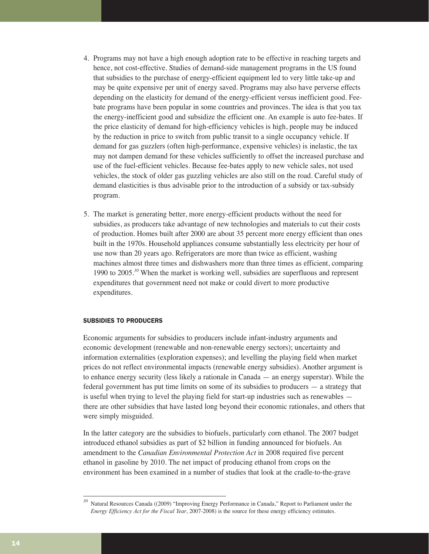- 4. Programs may not have a high enough adoption rate to be effective in reaching targets and hence, not cost-effective. Studies of demand-side management programs in the US found that subsidies to the purchase of energy-efficient equipment led to very little take-up and may be quite expensive per unit of energy saved. Programs may also have perverse effects depending on the elasticity for demand of the energy-efficient versus inefficient good. Feebate programs have been popular in some countries and provinces. The idea is that you tax the energy-inefficient good and subsidize the efficient one. An example is auto fee-bates. If the price elasticity of demand for high-efficiency vehicles is high, people may be induced by the reduction in price to switch from public transit to a single occupancy vehicle. If demand for gas guzzlers (often high-performance, expensive vehicles) is inelastic, the tax may not dampen demand for these vehicles sufficiently to offset the increased purchase and use of the fuel-efficient vehicles. Because fee-bates apply to new vehicle sales, not used vehicles, the stock of older gas guzzling vehicles are also still on the road. Careful study of demand elasticities is thus advisable prior to the introduction of a subsidy or tax-subsidy program.
- 5. The market is generating better, more energy-efficient products without the need for subsidies, as producers take advantage of new technologies and materials to cut their costs of production. Homes built after 2000 are about 35 percent more energy efficient than ones built in the 1970s. Household appliances consume substantially less electricity per hour of use now than 20 years ago. Refrigerators are more than twice as efficient, washing machines almost three times and dishwashers more than three times as efficient, comparing 1990 to 2005.*<sup>30</sup>* When the market is working well, subsidies are superfluous and represent expenditures that government need not make or could divert to more productive expenditures.

#### SUBSIDIES TO PRODUCERS

Economic arguments for subsidies to producers include infant-industry arguments and economic development (renewable and non-renewable energy sectors); uncertainty and information externalities (exploration expenses); and levelling the playing field when market prices do not reflect environmental impacts (renewable energy subsidies). Another argument is to enhance energy security (less likely a rationale in Canada — an energy superstar). While the federal government has put time limits on some of its subsidies to producers — a strategy that is useful when trying to level the playing field for start-up industries such as renewables there are other subsidies that have lasted long beyond their economic rationales, and others that were simply misguided.

In the latter category are the subsidies to biofuels, particularly corn ethanol. The 2007 budget introduced ethanol subsidies as part of \$2 billion in funding announced for biofuels. An amendment to the *Canadian Environmental Protection Act* in 2008 required five percent ethanol in gasoline by 2010. The net impact of producing ethanol from crops on the environment has been examined in a number of studies that look at the cradle-to-the-grave

*<sup>30</sup>* Natural Resources Canada ((2009) "Improving Energy Performance in Canada," Report to Parliament under the *Energy Efficiency Act for the Fiscal Year*, 2007-2008) is the source for these energy efficiency estimates.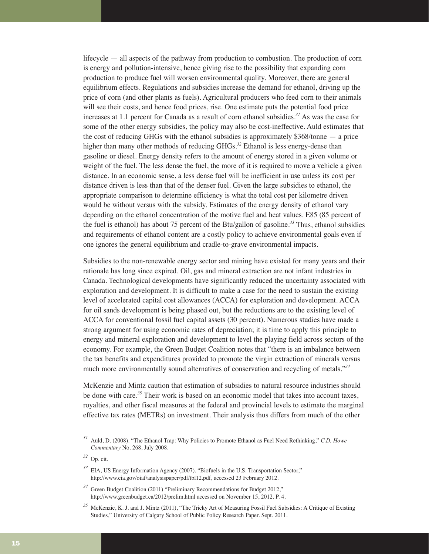lifecycle — all aspects of the pathway from production to combustion. The production of corn is energy and pollution-intensive, hence giving rise to the possibility that expanding corn production to produce fuel will worsen environmental quality. Moreover, there are general equilibrium effects. Regulations and subsidies increase the demand for ethanol, driving up the price of corn (and other plants as fuels). Agricultural producers who feed corn to their animals will see their costs, and hence food prices, rise. One estimate puts the potential food price increases at 1.1 percent for Canada as a result of corn ethanol subsidies.*<sup>31</sup>* As was the case for some of the other energy subsidies, the policy may also be cost-ineffective. Auld estimates that the cost of reducing GHGs with the ethanol subsidies is approximately \$368/tonne — a price higher than many other methods of reducing GHGs.*<sup>32</sup>* Ethanol is less energy-dense than gasoline or diesel. Energy density refers to the amount of energy stored in a given volume or weight of the fuel. The less dense the fuel, the more of it is required to move a vehicle a given distance. In an economic sense, a less dense fuel will be inefficient in use unless its cost per distance driven is less than that of the denser fuel. Given the large subsidies to ethanol, the appropriate comparison to determine efficiency is what the total cost per kilometre driven would be without versus with the subsidy. Estimates of the energy density of ethanol vary depending on the ethanol concentration of the motive fuel and heat values. E85 (85 percent of the fuel is ethanol) has about 75 percent of the Btu/gallon of gasoline.*<sup>33</sup>* Thus, ethanol subsidies and requirements of ethanol content are a costly policy to achieve environmental goals even if one ignores the general equilibrium and cradle-to-grave environmental impacts.

Subsidies to the non-renewable energy sector and mining have existed for many years and their rationale has long since expired. Oil, gas and mineral extraction are not infant industries in Canada. Technological developments have significantly reduced the uncertainty associated with exploration and development. It is difficult to make a case for the need to sustain the existing level of accelerated capital cost allowances (ACCA) for exploration and development. ACCA for oil sands development is being phased out, but the reductions are to the existing level of ACCA for conventional fossil fuel capital assets (30 percent). Numerous studies have made a strong argument for using economic rates of depreciation; it is time to apply this principle to energy and mineral exploration and development to level the playing field across sectors of the economy. For example, the Green Budget Coalition notes that "there is an imbalance between the tax benefits and expenditures provided to promote the virgin extraction of minerals versus much more environmentally sound alternatives of conservation and recycling of metals."*<sup>34</sup>*

McKenzie and Mintz caution that estimation of subsidies to natural resource industries should be done with care.*<sup>35</sup>* Their work is based on an economic model that takes into account taxes, royalties, and other fiscal measures at the federal and provincial levels to estimate the marginal effective tax rates (METRs) on investment. Their analysis thus differs from much of the other

*<sup>32</sup>* Op. cit.

*<sup>31</sup>* Auld, D. (2008). "The Ethanol Trap: Why Policies to Promote Ethanol as Fuel Need Rethinking," *C.D. Howe Commentary* No. 268, July 2008.

*<sup>33</sup>* EIA, US Energy Information Agency (2007). "Biofuels in the U.S. Transportation Sector," http://www.eia.gov/oiaf/analysispaper/pdf/tbl12.pdf, accessed 23 February 2012.

*<sup>34</sup>* Green Budget Coalition (2011) "Preliminary Recommendations for Budget 2012," http://www.greenbudget.ca/2012/prelim.html accessed on November 15, 2012. P. 4.

*<sup>35</sup>* McKenzie, K. J. and J. Mintz (2011), "The Tricky Art of Measuring Fossil Fuel Subsidies: A Critique of Existing Studies," University of Calgary School of Public Policy Research Paper. Sept. 2011.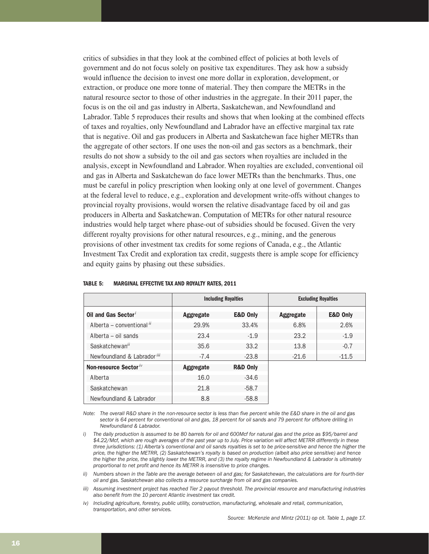critics of subsidies in that they look at the combined effect of policies at both levels of government and do not focus solely on positive tax expenditures. They ask how a subsidy would influence the decision to invest one more dollar in exploration, development, or extraction, or produce one more tonne of material. They then compare the METRs in the natural resource sector to those of other industries in the aggregate. In their 2011 paper, the focus is on the oil and gas industry in Alberta, Saskatchewan, and Newfoundland and Labrador. Table 5 reproduces their results and shows that when looking at the combined effects of taxes and royalties, only Newfoundland and Labrador have an effective marginal tax rate that is negative. Oil and gas producers in Alberta and Saskatchewan face higher METRs than the aggregate of other sectors. If one uses the non-oil and gas sectors as a benchmark, their results do not show a subsidy to the oil and gas sectors when royalties are included in the analysis, except in Newfoundland and Labrador. When royalties are excluded, conventional oil and gas in Alberta and Saskatchewan do face lower METRs than the benchmarks. Thus, one must be careful in policy prescription when looking only at one level of government. Changes at the federal level to reduce, e.g., exploration and development write-offs without changes to provincial royalty provisions, would worsen the relative disadvantage faced by oil and gas producers in Alberta and Saskatchewan. Computation of METRs for other natural resource industries would help target where phase-out of subsidies should be focused. Given the very different royalty provisions for other natural resources, e.g., mining, and the generous provisions of other investment tax credits for some regions of Canada, e.g., the Atlantic Investment Tax Credit and exploration tax credit, suggests there is ample scope for efficiency and equity gains by phasing out these subsidies.

|                                 | <b>Including Royalties</b> |                     | <b>Excluding Royalties</b> |          |
|---------------------------------|----------------------------|---------------------|----------------------------|----------|
| Oil and Gas Sector <sup>i</sup> | Aggregate                  | <b>E&amp;D Only</b> | <b>Aggregate</b>           | E&D Only |
| Alberta – conventional $ii$     | 29.9%                      | 33.4%               | 6.8%                       | 2.6%     |
| Alberta - oil sands             | 23.4                       | $-1.9$              | 23.2                       | $-1.9$   |
| Saskatchewan <sup>ii</sup>      | 35.6                       | 33.2                | 13.8                       | $-0.7$   |
| Newfoundland & Labrador iii     | $-7.4$                     | $-23.8$             | $-21.6$                    | $-11.5$  |
| Non-resource Sector iv          | Aggregate                  | <b>R&amp;D Only</b> |                            |          |
| Alberta                         | 16.0                       | $-34.6$             |                            |          |
| Saskatchewan                    | 21.8                       | $-58.7$             |                            |          |
| Newfoundland & Labrador         | 8.8                        | $-58.8$             |                            |          |

#### TABLE 5: MARGINAL EFFECTIVE TAX AND ROYALTY RATES, 2011

*Note: The overall R&D share in the non-resource sector is less than five percent while the E&D share in the oil and gas sector is 64 percent for conventional oil and gas, 18 percent for oil sands and 79 percent for offshore drilling in Newfoundland & Labrador.*

- *i) The daily production is assumed to be 80 barrels for oil and 600Mcf for natural gas and the price as \$95/barrel and \$4.22/Mcf, which are rough averages of the past year up to July. Price variation will affect METRR differently in these three jurisdictions: (1) Alberta's conventional and oil sands royalties is set to be price-sensitive and hence the higher the price, the higher the METRR, (2) Saskatchewan's royalty is based on production (albeit also price sensitive) and hence the higher the price, the slightly lower the METRR, and (3) the royalty regime in Newfoundland & Labrador is ultimately proportional to net profit and hence its METRR is insensitive to price changes.*
- *ii) Numbers shown in the Table are the average between oil and gas; for Saskatchewan, the calculations are for fourth-tier oil and gas. Saskatchewan also collects a resource surcharge from oil and gas companies.*
- *iii) Assuming investment project has reached Tier 2 payout threshold. The provincial resource and manufacturing industries also benefit from the 10 percent Atlantic investment tax credit.*
- *iv) Including agriculture, forestry, public utility, construction, manufacturing, wholesale and retail, communication, transportation, and other services.*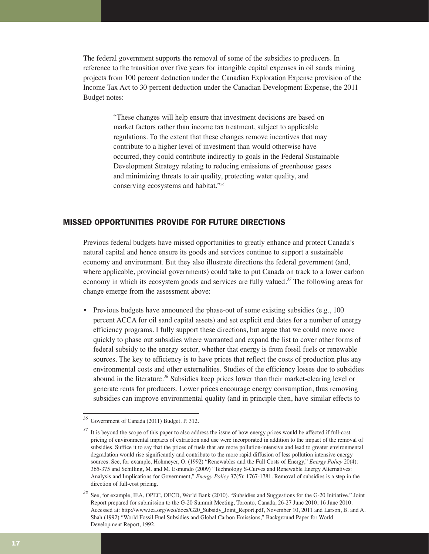The federal government supports the removal of some of the subsidies to producers. In reference to the transition over five years for intangible capital expenses in oil sands mining projects from 100 percent deduction under the Canadian Exploration Expense provision of the Income Tax Act to 30 percent deduction under the Canadian Development Expense, the 2011 Budget notes:

> "These changes will help ensure that investment decisions are based on market factors rather than income tax treatment, subject to applicable regulations. To the extent that these changes remove incentives that may contribute to a higher level of investment than would otherwise have occurred, they could contribute indirectly to goals in the Federal Sustainable Development Strategy relating to reducing emissions of greenhouse gases and minimizing threats to air quality, protecting water quality, and conserving ecosystems and habitat."*<sup>36</sup>*

## MISSED OPPORTUNITIES PROVIDE FOR FUTURE DIRECTIONS

Previous federal budgets have missed opportunities to greatly enhance and protect Canada's natural capital and hence ensure its goods and services continue to support a sustainable economy and environment. But they also illustrate directions the federal government (and, where applicable, provincial governments) could take to put Canada on track to a lower carbon economy in which its ecosystem goods and services are fully valued.*<sup>37</sup>* The following areas for change emerge from the assessment above:

• Previous budgets have announced the phase-out of some existing subsidies (e.g., 100) percent ACCA for oil sand capital assets) and set explicit end dates for a number of energy efficiency programs. I fully support these directions, but argue that we could move more quickly to phase out subsidies where warranted and expand the list to cover other forms of federal subsidy to the energy sector, whether that energy is from fossil fuels or renewable sources. The key to efficiency is to have prices that reflect the costs of production plus any environmental costs and other externalities. Studies of the efficiency losses due to subsidies abound in the literature.*<sup>38</sup>* Subsidies keep prices lower than their market-clearing level or generate rents for producers. Lower prices encourage energy consumption, thus removing subsidies can improve environmental quality (and in principle then, have similar effects to

*<sup>36</sup>* Government of Canada (2011) Budget. P. 312.

It is beyond the scope of this paper to also address the issue of how energy prices would be affected if full-cost pricing of environmental impacts of extraction and use were incorporated in addition to the impact of the removal of subsidies. Suffice it to say that the prices of fuels that are more pollution-intensive and lead to greater environmental degradation would rise significantly and contribute to the more rapid diffusion of less pollution intensive energy sources. See, for example, Hohmeyer, O. (1992) "Renewables and the Full Costs of Energy," *Energy Policy* 20(4): 365-375 and Schilling, M. and M. Esmundo (2009) "Technology S-Curves and Renewable Energy Alternatives: Analysis and Implications for Government," *Energy Policy* 37(5): 1767-1781. Removal of subsidies is a step in the direction of full-cost pricing.

*<sup>38</sup>* See, for example, IEA, OPEC, OECD, World Bank (2010). "Subsidies and Suggestions for the G-20 Initiative," Joint Report prepared for submission to the G-20 Summit Meeting, Toronto, Canada, 26-27 June 2010, 16 June 2010. Accessed at: http://www.iea.org/weo/docs/G20\_Subsidy\_Joint\_Report.pdf, November 10, 2011 and Larson, B. and A. Shah (1992) "World Fossil Fuel Subsidies and Global Carbon Emissions," Background Paper for World Development Report, 1992.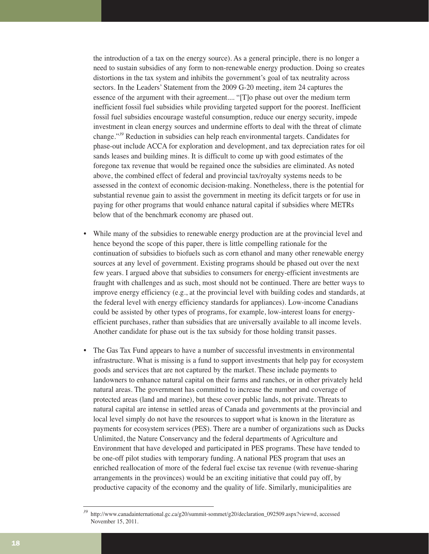the introduction of a tax on the energy source). As a general principle, there is no longer a need to sustain subsidies of any form to non-renewable energy production. Doing so creates distortions in the tax system and inhibits the government's goal of tax neutrality across sectors. In the Leaders' Statement from the 2009 G-20 meeting, item 24 captures the essence of the argument with their agreement.... "[T]o phase out over the medium term inefficient fossil fuel subsidies while providing targeted support for the poorest. Inefficient fossil fuel subsidies encourage wasteful consumption, reduce our energy security, impede investment in clean energy sources and undermine efforts to deal with the threat of climate change."*<sup>39</sup>* Reduction in subsidies can help reach environmental targets. Candidates for phase-out include ACCA for exploration and development, and tax depreciation rates for oil sands leases and building mines. It is difficult to come up with good estimates of the foregone tax revenue that would be regained once the subsidies are eliminated. As noted above, the combined effect of federal and provincial tax/royalty systems needs to be assessed in the context of economic decision-making. Nonetheless, there is the potential for substantial revenue gain to assist the government in meeting its deficit targets or for use in paying for other programs that would enhance natural capital if subsidies where METRs below that of the benchmark economy are phased out.

- While many of the subsidies to renewable energy production are at the provincial level and hence beyond the scope of this paper, there is little compelling rationale for the continuation of subsidies to biofuels such as corn ethanol and many other renewable energy sources at any level of government. Existing programs should be phased out over the next few years. I argued above that subsidies to consumers for energy-efficient investments are fraught with challenges and as such, most should not be continued. There are better ways to improve energy efficiency (e.g., at the provincial level with building codes and standards, at the federal level with energy efficiency standards for appliances). Low-income Canadians could be assisted by other types of programs, for example, low-interest loans for energyefficient purchases, rather than subsidies that are universally available to all income levels. Another candidate for phase out is the tax subsidy for those holding transit passes.
- The Gas Tax Fund appears to have a number of successful investments in environmental infrastructure. What is missing is a fund to support investments that help pay for ecosystem goods and services that are not captured by the market. These include payments to landowners to enhance natural capital on their farms and ranches, or in other privately held natural areas. The government has committed to increase the number and coverage of protected areas (land and marine), but these cover public lands, not private. Threats to natural capital are intense in settled areas of Canada and governments at the provincial and local level simply do not have the resources to support what is known in the literature as payments for ecosystem services (PES). There are a number of organizations such as Ducks Unlimited, the Nature Conservancy and the federal departments of Agriculture and Environment that have developed and participated in PES programs. These have tended to be one-off pilot studies with temporary funding. A national PES program that uses an enriched reallocation of more of the federal fuel excise tax revenue (with revenue-sharing arrangements in the provinces) would be an exciting initiative that could pay off, by productive capacity of the economy and the quality of life. Similarly, municipalities are

*<sup>39</sup>* http://www.canadainternational.gc.ca/g20/summit-sommet/g20/declaration\_092509.aspx?view=d, accessed November 15, 2011.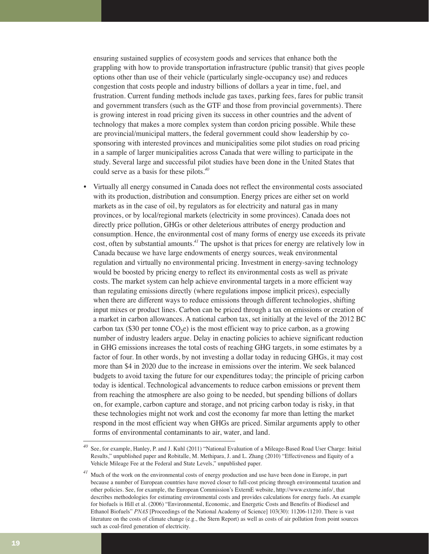ensuring sustained supplies of ecosystem goods and services that enhance both the grappling with how to provide transportation infrastructure (public transit) that gives people options other than use of their vehicle (particularly single-occupancy use) and reduces congestion that costs people and industry billions of dollars a year in time, fuel, and frustration. Current funding methods include gas taxes, parking fees, fares for public transit and government transfers (such as the GTF and those from provincial governments). There is growing interest in road pricing given its success in other countries and the advent of technology that makes a more complex system than cordon pricing possible. While these are provincial/municipal matters, the federal government could show leadership by cosponsoring with interested provinces and municipalities some pilot studies on road pricing in a sample of larger municipalities across Canada that were willing to participate in the study. Several large and successful pilot studies have been done in the United States that could serve as a basis for these pilots.*<sup>40</sup>*

• Virtually all energy consumed in Canada does not reflect the environmental costs associated with its production, distribution and consumption. Energy prices are either set on world markets as in the case of oil, by regulators as for electricity and natural gas in many provinces, or by local/regional markets (electricity in some provinces). Canada does not directly price pollution, GHGs or other deleterious attributes of energy production and consumption. Hence, the environmental cost of many forms of energy use exceeds its private cost, often by substantial amounts.*<sup>41</sup>* The upshot is that prices for energy are relatively low in Canada because we have large endowments of energy sources, weak environmental regulation and virtually no environmental pricing. Investment in energy-saving technology would be boosted by pricing energy to reflect its environmental costs as well as private costs. The market system can help achieve environmental targets in a more efficient way than regulating emissions directly (where regulations impose implicit prices), especially when there are different ways to reduce emissions through different technologies, shifting input mixes or product lines. Carbon can be priced through a tax on emissions or creation of a market in carbon allowances. A national carbon tax, set initially at the level of the 2012 BC carbon tax (\$30 per tonne  $CO<sub>2</sub>e$ ) is the most efficient way to price carbon, as a growing number of industry leaders argue. Delay in enacting policies to achieve significant reduction in GHG emissions increases the total costs of reaching GHG targets, in some estimates by a factor of four. In other words, by not investing a dollar today in reducing GHGs, it may cost more than \$4 in 2020 due to the increase in emissions over the interim. We seek balanced budgets to avoid taxing the future for our expenditures today; the principle of pricing carbon today is identical. Technological advancements to reduce carbon emissions or prevent them from reaching the atmosphere are also going to be needed, but spending billions of dollars on, for example, carbon capture and storage, and not pricing carbon today is risky, in that these technologies might not work and cost the economy far more than letting the market respond in the most efficient way when GHGs are priced. Similar arguments apply to other forms of environmental contaminants to air, water, and land.

*<sup>40</sup>* See, for example, Hanley, P. and J. Kuhl (2011) "National Evaluation of a Mileage-Based Road User Charge: Initial Results," unpublished paper and Robitalle, M. Methipara, J. and L. Zhang (2010) "Effectiveness and Equity of a Vehicle Mileage Fee at the Federal and State Levels," unpublished paper.

*At Much* of the work on the environmental costs of energy production and use have been done in Europe, in part because a number of European countries have moved closer to full-cost pricing through environmental taxation and other policies. See, for example, the European Commission's ExternE website, http://www.externe.info/, that describes methodologies for estimating environmental costs and provides calculations for energy fuels. An example for biofuels is Hill et al. (2006) "Environmental, Economic, and Energetic Costs and Benefits of Biodiesel and Ethanol Biofuels" *PNAS* [Proceedings of the National Academy of Science] 103(30): 11206-11210. There is vast literature on the costs of climate change (e.g., the Stern Report) as well as costs of air pollution from point sources such as coal-fired generation of electricity.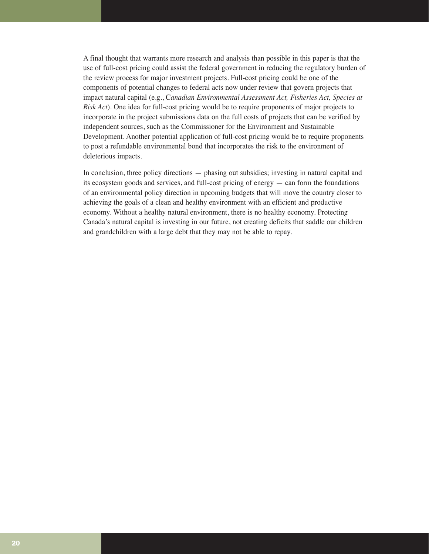A final thought that warrants more research and analysis than possible in this paper is that the use of full-cost pricing could assist the federal government in reducing the regulatory burden of the review process for major investment projects. Full-cost pricing could be one of the components of potential changes to federal acts now under review that govern projects that impact natural capital (e.g., C*anadian Environmental Assessment Act, Fisheries Act, Species at Risk Act*). One idea for full-cost pricing would be to require proponents of major projects to incorporate in the project submissions data on the full costs of projects that can be verified by independent sources, such as the Commissioner for the Environment and Sustainable Development. Another potential application of full-cost pricing would be to require proponents to post a refundable environmental bond that incorporates the risk to the environment of deleterious impacts.

In conclusion, three policy directions — phasing out subsidies; investing in natural capital and its ecosystem goods and services, and full-cost pricing of energy — can form the foundations of an environmental policy direction in upcoming budgets that will move the country closer to achieving the goals of a clean and healthy environment with an efficient and productive economy. Without a healthy natural environment, there is no healthy economy. Protecting Canada's natural capital is investing in our future, not creating deficits that saddle our children and grandchildren with a large debt that they may not be able to repay.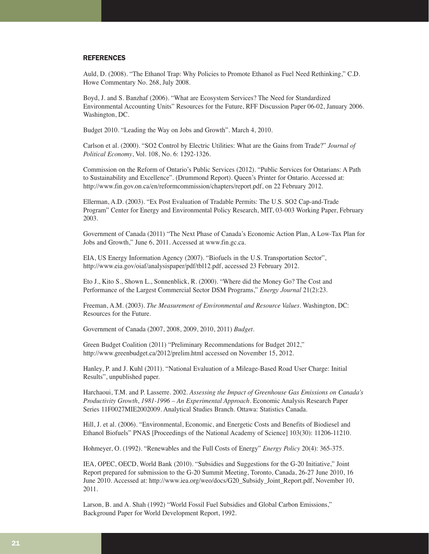#### **REFERENCES**

Auld, D. (2008). "The Ethanol Trap: Why Policies to Promote Ethanol as Fuel Need Rethinking," C.D. Howe Commentary No. 268, July 2008.

Boyd, J. and S. Banzhaf (2006). "What are Ecosystem Services? The Need for Standardized Environmental Accounting Units" Resources for the Future, RFF Discussion Paper 06-02, January 2006. Washington, DC.

Budget 2010. "Leading the Way on Jobs and Growth". March 4, 2010.

Carlson et al. (2000). "SO2 Control by Electric Utilities: What are the Gains from Trade?" *Journal of Political Economy*, Vol. 108, No. 6: 1292-1326.

Commission on the Reform of Ontario's Public Services (2012). "Public Services for Ontarians: A Path to Sustainability and Excellence". (Drummond Report). Queen's Printer for Ontario. Accessed at: http://www.fin.gov.on.ca/en/reformcommission/chapters/report.pdf, on 22 February 2012.

Ellerman, A.D. (2003). "Ex Post Evaluation of Tradable Permits: The U.S. SO2 Cap-and-Trade Program" Center for Energy and Environmental Policy Research, MIT, 03-003 Working Paper, February 2003.

Government of Canada (2011) "The Next Phase of Canada's Economic Action Plan, A Low-Tax Plan for Jobs and Growth," June 6, 2011. Accessed at www.fin.gc.ca.

EIA, US Energy Information Agency (2007). "Biofuels in the U.S. Transportation Sector", http://www.eia.gov/oiaf/analysispaper/pdf/tbl12.pdf, accessed 23 February 2012.

Eto J., Kito S., Shown L., Sonnenblick, R. (2000). "Where did the Money Go? The Cost and Performance of the Largest Commercial Sector DSM Programs," *Energy Journal* 21(2):23.

Freeman, A.M. (2003). *The Measurement of Environmental and Resource Values*. Washington, DC: Resources for the Future.

Government of Canada (2007, 2008, 2009, 2010, 2011) *Budget*.

Green Budget Coalition (2011) "Preliminary Recommendations for Budget 2012," http://www.greenbudget.ca/2012/prelim.html accessed on November 15, 2012.

Hanley, P. and J. Kuhl (2011). "National Evaluation of a Mileage-Based Road User Charge: Initial Results", unpublished paper.

Harchaoui, T.M. and P. Lasserre. 2002. *Assessing the Impact of Greenhouse Gas Emissions on Canada's Productivity Growth*, *1981-1996 – An Experimental Approach*. Economic Analysis Research Paper Series 11F0027MIE2002009. Analytical Studies Branch. Ottawa: Statistics Canada.

Hill, J. et al. (2006). "Environmental, Economic, and Energetic Costs and Benefits of Biodiesel and Ethanol Biofuels" PNAS [Proceedings of the National Academy of Science] 103(30): 11206-11210.

Hohmeyer, O. (1992). "Renewables and the Full Costs of Energy" *Energy Policy* 20(4): 365-375.

IEA, OPEC, OECD, World Bank (2010). "Subsidies and Suggestions for the G-20 Initiative," Joint Report prepared for submission to the G-20 Summit Meeting, Toronto, Canada, 26-27 June 2010, 16 June 2010. Accessed at: http://www.iea.org/weo/docs/G20\_Subsidy\_Joint\_Report.pdf, November 10, 2011.

Larson, B. and A. Shah (1992) "World Fossil Fuel Subsidies and Global Carbon Emissions," Background Paper for World Development Report, 1992.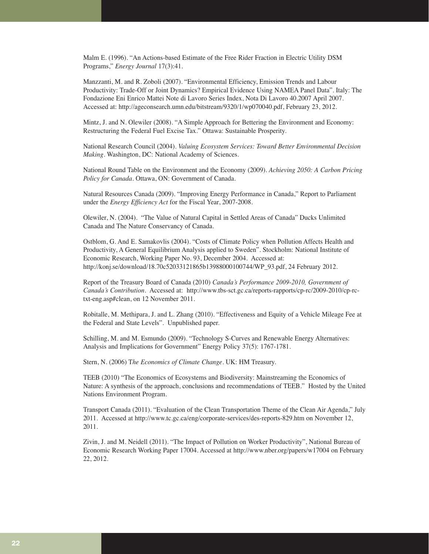Malm E. (1996). "An Actions-based Estimate of the Free Rider Fraction in Electric Utility DSM Programs," *Energy Journal* 17(3):41.

Manzzanti, M. and R. Zoboli (2007). "Environmental Efficiency, Emission Trends and Labour Productivity: Trade-Off or Joint Dynamics? Empirical Evidence Using NAMEA Panel Data". Italy: The Fondazione Eni Enrico Mattei Note di Lavoro Series Index, Nota Di Lavoro 40.2007 April 2007. Accessed at: http://ageconsearch.umn.edu/bitstream/9320/1/wp070040.pdf, February 23, 2012.

Mintz, J. and N. Olewiler (2008). "A Simple Approach for Bettering the Environment and Economy: Restructuring the Federal Fuel Excise Tax." Ottawa: Sustainable Prosperity.

National Research Council (2004). *Valuing Ecosystem Services: Toward Better Environmental Decision Making*. Washington, DC: National Academy of Sciences.

National Round Table on the Environment and the Economy (2009). *Achieving 2050: A Carbon Pricing Policy for Canada*. Ottawa, ON: Government of Canada.

Natural Resources Canada (2009). "Improving Energy Performance in Canada," Report to Parliament under the *Energy Efficiency Act* for the Fiscal Year, 2007-2008.

Olewiler, N. (2004). "The Value of Natural Capital in Settled Areas of Canada" Ducks Unlimited Canada and The Nature Conservancy of Canada.

Ostblom, G. And E. Samakovlis (2004). "Costs of Climate Policy when Pollution Affects Health and Productivity, A General Equilibrium Analysis applied to Sweden". Stockholm: National Institute of Economic Research, Working Paper No. 93, December 2004. Accessed at: http://konj.se/download/18.70c52033121865b13988000100744/WP\_93.pdf, 24 February 2012.

Report of the Treasury Board of Canada (2010) *Canada's Performance 2009-2010, Government of Canada's Contribution*. Accessed at: http://www.tbs-sct.gc.ca/reports-rapports/cp-rc/2009-2010/cp-rctxt-eng.asp#clean, on 12 November 2011.

Robitalle, M. Methipara, J. and L. Zhang (2010). "Effectiveness and Equity of a Vehicle Mileage Fee at the Federal and State Levels". Unpublished paper.

Schilling, M. and M. Esmundo (2009). "Technology S-Curves and Renewable Energy Alternatives: Analysis and Implications for Government" Energy Policy 37(5): 1767-1781.

Stern, N. (2006) T*he Economics of Climate Change*. UK: HM Treasury.

TEEB (2010) "The Economics of Ecosystems and Biodiversity: Mainstreaming the Economics of Nature: A synthesis of the approach, conclusions and recommendations of TEEB." Hosted by the United Nations Environment Program.

Transport Canada (2011). "Evaluation of the Clean Transportation Theme of the Clean Air Agenda," July 2011. Accessed at http://www.tc.gc.ca/eng/corporate-services/des-reports-829.htm on November 12, 2011.

Zivin, J. and M. Neidell (2011). "The Impact of Pollution on Worker Productivity", National Bureau of Economic Research Working Paper 17004. Accessed at http://www.nber.org/papers/w17004 on February 22, 2012.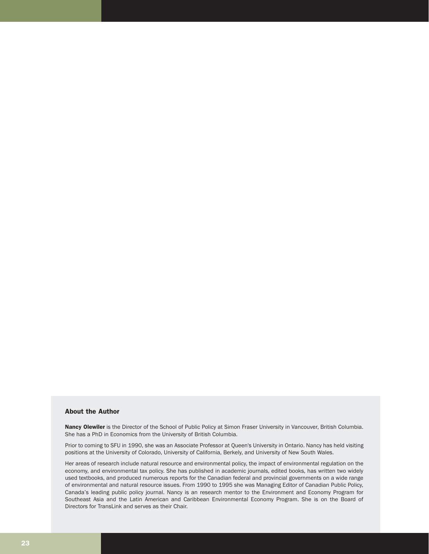#### About the Author

Nancy Olewiler is the Director of the School of Public Policy at Simon Fraser University in Vancouver, British Columbia. She has a PhD in Economics from the University of British Columbia.

Prior to coming to SFU in 1990, she was an Associate Professor at Queen's University in Ontario. Nancy has held visiting positions at the University of Colorado, University of California, Berkely, and University of New South Wales.

Her areas of research include natural resource and environmental policy, the impact of environmental regulation on the economy, and environmental tax policy. She has published in academic journals, edited books, has written two widely used textbooks, and produced numerous reports for the Canadian federal and provincial governments on a wide range of environmental and natural resource issues. From 1990 to 1995 she was Managing Editor of Canadian Public Policy, Canada's leading public policy journal. Nancy is an research mentor to the Environment and Economy Program for Southeast Asia and the Latin American and Caribbean Environmental Economy Program. She is on the Board of Directors for TransLink and serves as their Chair.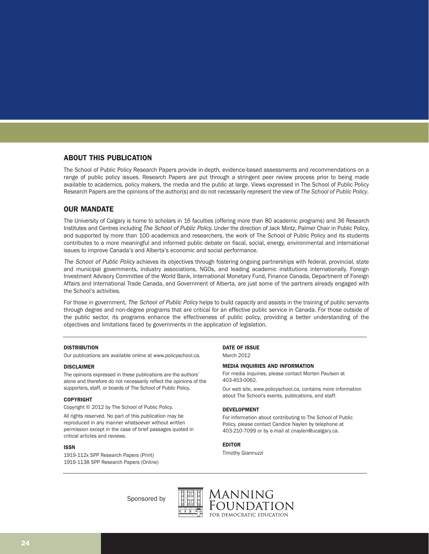#### ABOUT THIS PUBLICATION

The School of Public Policy Research Papers provide in-depth, evidence-based assessments and recommendations on a range of public policy issues. Research Papers are put through a stringent peer review process prior to being made available to academics, policy makers, the media and the public at large. Views expressed in The School of Public Policy Research Papers are the opinions of the author(s) and do not necessarily represent the view of *The School of Public Policy*.

#### OUR MANDATE

The University of Calgary is home to scholars in 16 faculties (offering more than 80 academic programs) and 36 Research Institutes and Centres including The School of Public Policy. Under the direction of Jack Mintz, Palmer Chair in Public Policy, and supported by more than 100 academics and researchers, the work of The School of Public Policy and its students contributes to a more meaningful and informed public debate on fiscal, social, energy, environmental and international issues to improve Canada's and Alberta's economic and social performance.

The School of Public Policy achieves its objectives through fostering ongoing partnerships with federal, provincial, state and municipal governments, industry associations, NGOs, and leading academic institutions internationally. Foreign Investment Advisory Committee of the World Bank, International Monetary Fund, Finance Canada, Department of Foreign Affairs and International Trade Canada, and Government of Alberta, are just some of the partners already engaged with the School's activities.

For those in government, The School of Public Policy helps to build capacity and assists in the training of public servants through degree and non-degree programs that are critical for an effective public service in Canada. For those outside of the public sector, its programs enhance the effectiveness of public policy, providing a better understanding of the objectives and limitations faced by governments in the application of legislation.

#### **DISTRIBUTION**

Our publications are available online at www.policyschool.ca.

#### DISCLAIMER

The opinions expressed in these publications are the authors' alone and therefore do not necessarily reflect the opinions of the supporters, staff, or boards of The School of Public Policy.

#### **COPYRIGHT**

Copyright © 2012 by The School of Public Policy.

All rights reserved. No part of this publication may be reproduced in any manner whatsoever without written permission except in the case of brief passages quoted in critical articles and reviews.

#### ISSN

1919-112x SPP Research Papers (Print) 1919-1138 SPP Research Papers (Online)

DATE OF ISSUE March 2012

#### MEDIA INQUIRIES AND INFORMATION

For media inquiries, please contact Morten Paulsen at 403-453-0062.

Our web site, www.policyschool.ca, contains more information about The School's events, publications, and staff.

#### DEVELOPMENT

For information about contributing to The School of Public Policy, please contact Candice Naylen by telephone at 403-210-7099 or by e-mail at cnaylen@ucalgary.ca.

#### EDITOR

Timothy Giannuzzi





Manning **JUNDATION** FOR DEMOCRATIC EDUCATION